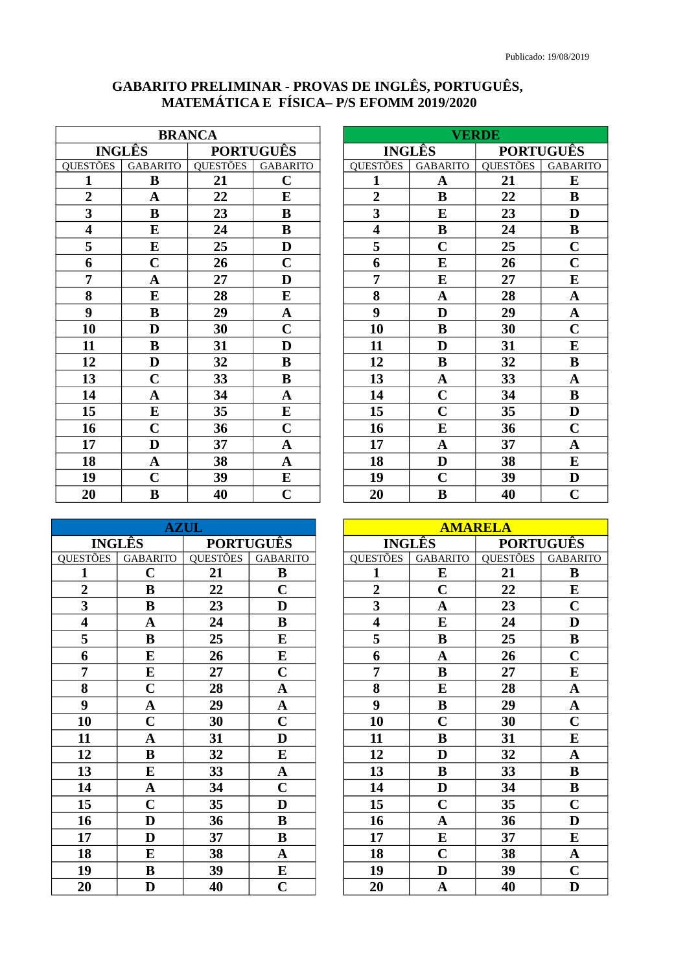## GABARITO PRELIMINAR - PROVAS DE INGLÊS, PORTUGUÊS,<br>MATEMÁTICA E FÍSICA-P/S EFOMM 2019/2020

| <b>BRANCA</b>           |                         |                  |                 |
|-------------------------|-------------------------|------------------|-----------------|
| <b>INGLÊS</b>           |                         | <b>PORTUGUÊS</b> |                 |
| QUESTÕES                | <b>GABARITO</b>         | QUESTÕES         | <b>GABARITO</b> |
| 1                       | B                       | 21               | $\mathbf C$     |
| $\boldsymbol{2}$        | $\mathbf A$             | 22               | E               |
| 3                       | B                       | 23               | $\bf{B}$        |
| $\overline{\mathbf{4}}$ | E                       | 24               | $\bf{B}$        |
| 5                       | E                       | 25               | D               |
| 6                       | $\mathbf C$             | 26               | $\mathbf C$     |
| 7                       | $\mathbf A$             | 27               | D               |
| 8                       | E                       | 28               | E               |
| 9                       | $\bf{B}$                | 29               | $\mathbf{A}$    |
| 10                      | D                       | 30               | $\mathbf C$     |
| 11                      | $\bf{B}$                | 31               | D               |
| 12                      | D                       | 32               | $\bf{B}$        |
| 13                      | $\mathbf C$             | 33               | B               |
| 14                      | $\mathbf A$             | 34               | $\mathbf A$     |
| 15                      | ${\bf E}$               | 35               | E               |
| 16                      | $\overline{\mathbf{C}}$ | 36               | $\mathbf C$     |
| 17                      | $\overline{\mathbf{D}}$ | 37               | A               |
| 18                      | $\mathbf A$             | 38               | $\mathbf{A}$    |
| 19                      | $\mathbf C$             | 39               | E               |
| 20                      | B                       | 40               | $\mathbf C$     |

| <b>VERDE</b>            |                         |                  |                         |
|-------------------------|-------------------------|------------------|-------------------------|
| <b>INGLÉS</b>           |                         | <b>PORTUGUÊS</b> |                         |
| <b>QUESTÕES</b>         | <b>GABARITO</b>         | <b>QUESTÕES</b>  | <b>GABARITO</b>         |
| $\mathbf{1}$            | A                       | 21               | E                       |
| $\boldsymbol{2}$        | B                       | 22               | B                       |
| 3                       | E                       | 23               | D                       |
| $\overline{\mathbf{4}}$ | $\bf{B}$                | 24               | B                       |
| 5                       | $\mathbf C$             | 25               | $\mathbf C$             |
| 6                       | E                       | 26               | $\mathbf C$             |
| 7                       | E                       | 27               | E                       |
| 8                       | $\mathbf A$             | 28               | $\overline{\mathbf{A}}$ |
| 9                       | D                       | 29               | $\mathbf A$             |
| 10                      | B                       | 30               | $\mathbf C$             |
| 11                      | D                       | 31               | E                       |
| 12                      | $\bf{B}$                | 32               | $\bf{B}$                |
| 13                      | $\mathbf A$             | 33               | $\mathbf A$             |
| 14                      | $\overline{\mathbf{C}}$ | 34               | $\bf{B}$                |
| 15                      | $\overline{\mathbf{C}}$ | 35               | D                       |
| 16                      | E                       | 36               | $\mathbf C$             |
| 17                      | $\mathbf A$             | 37               | $\mathbf A$             |
| 18                      | $\mathbf D$             | 38               | E                       |
| 19                      | $\mathbf C$             | 39               | D                       |
| 20                      | B                       | 40               | $\mathbf C$             |

| <b>AZUL</b>             |                         |                  |                         |
|-------------------------|-------------------------|------------------|-------------------------|
| <b>INGLÊS</b>           |                         | <b>PORTUGUÊS</b> |                         |
| QUESTÕES                | <b>GABARITO</b>         | <b>QUESTÕES</b>  | <b>GABARITO</b>         |
| 1                       | $\mathbf C$             | 21               | $\bf{B}$                |
| $\overline{2}$          | $\bf{B}$                | 22               | $\mathbf C$             |
| 3                       | $\bf{B}$                | 23               | D                       |
| $\overline{\mathbf{4}}$ | $\mathbf A$             | 24               | B                       |
| 5                       | $\bf{B}$                | 25               | ${\bf E}$               |
| 6                       | E                       | 26               | E                       |
| 7                       | E                       | 27               | $\mathbf C$             |
| 8                       | $\overline{C}$          | 28               | $\mathbf{A}$            |
| 9                       | $\overline{\mathbf{A}}$ | 29               | $\overline{\mathbf{A}}$ |
| 10                      | $\mathbf C$             | 30               | $\mathbf C$             |
| 11                      | $\overline{\mathbf{A}}$ | 31               | D                       |
| 12                      | $\bf{B}$                | 32               | ${\bf E}$               |
| 13                      | E                       | 33               | $\mathbf{A}$            |
| 14                      | $\overline{\mathbf{A}}$ | 34               | $\mathbf C$             |
| 15                      | $\overline{C}$          | 35               | D                       |
| 16                      | D                       | 36               | $\bf{B}$                |
| 17                      | D                       | 37               | B                       |
| 18                      | E                       | 38               | $\mathbf A$             |
| 19                      | $\bf{B}$                | 39               | ${\bf E}$               |
| 20                      | D                       | 40               | $\mathbf C$             |

| <b>AMARELA</b>          |                         |                  |                 |
|-------------------------|-------------------------|------------------|-----------------|
|                         | <b>INGLÊS</b>           | <b>PORTUGUÊS</b> |                 |
| <b>QUESTÕES</b>         | <b>GABARITO</b>         | <b>QUESTÕES</b>  | <b>GABARITO</b> |
| 1                       | E                       | 21               | B               |
| $\overline{2}$          | $\mathbf C$             | 22               | E               |
| 3                       | $\mathbf A$             | 23               | $\mathbf C$     |
| $\overline{\mathbf{4}}$ | E                       | 24               | D               |
| 5                       | $\bf{B}$                | 25               | $\bf{B}$        |
| 6                       | $\mathbf A$             | 26               | $\mathbf C$     |
| 7                       | $\bf{B}$                | 27               | E               |
| 8                       | E                       | 28               | $\mathbf A$     |
| 9                       | B                       | 29               | $\mathbf A$     |
| 10                      | $\mathbf C$             | 30               | $\mathbf C$     |
| 11                      | $\bf{B}$                | 31               | E               |
| 12                      | D                       | 32               | $\mathbf A$     |
| 13                      | $\bf{B}$                | 33               | B               |
| 14                      | D                       | 34               | $\bf{B}$        |
| 15                      | $\mathbf C$             | 35               | $\mathbf C$     |
| 16                      | $\overline{\mathbf{A}}$ | 36               | D               |
| 17                      | E                       | 37               | E               |
| 18                      | $\mathbf C$             | 38               | $\mathbf A$     |
| 19                      | $\mathbf D$             | 39               | $\mathbf C$     |
| 20                      | $\overline{\mathbf{A}}$ | 40               | D               |